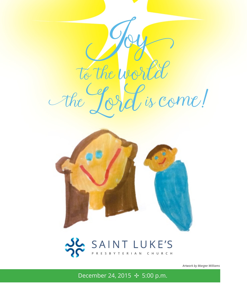



# SAINT LUKE'S

*Artwork by Margee Williams*

December 24, 2015 ✣ 5:00 p.m.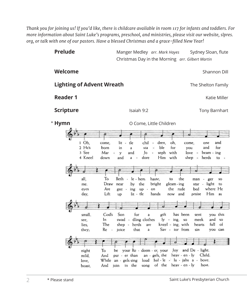*Thank you for joining us! If you'd like, there is childcare available in room 117 for infants and toddlers. For more information about Saint Luke's programs, preschool, and ministries, please visit our website, slpres. org, or talk with one of our pastors. Have a blessed Christmas and a grace-filled New Year!*

| <b>Prelude</b>                                                                                                                                                                                                                                                                                | Manger Medley arr. Mark Hayes<br>Sydney Sloan, flute<br>Christmas Day in the Morning arr. Gilbert Martin                                                                                                                                                                                                                                                                                                                                                                                                                                                                                                                                                                                                                                                                                                                                                                                                                                                                                                                                                                                                               |  |  |
|-----------------------------------------------------------------------------------------------------------------------------------------------------------------------------------------------------------------------------------------------------------------------------------------------|------------------------------------------------------------------------------------------------------------------------------------------------------------------------------------------------------------------------------------------------------------------------------------------------------------------------------------------------------------------------------------------------------------------------------------------------------------------------------------------------------------------------------------------------------------------------------------------------------------------------------------------------------------------------------------------------------------------------------------------------------------------------------------------------------------------------------------------------------------------------------------------------------------------------------------------------------------------------------------------------------------------------------------------------------------------------------------------------------------------------|--|--|
| Welcome                                                                                                                                                                                                                                                                                       | Shannon Dill                                                                                                                                                                                                                                                                                                                                                                                                                                                                                                                                                                                                                                                                                                                                                                                                                                                                                                                                                                                                                                                                                                           |  |  |
| <b>Lighting of Advent Wreath</b><br>The Shelton Family                                                                                                                                                                                                                                        |                                                                                                                                                                                                                                                                                                                                                                                                                                                                                                                                                                                                                                                                                                                                                                                                                                                                                                                                                                                                                                                                                                                        |  |  |
| <b>Reader 1</b>                                                                                                                                                                                                                                                                               | Katie Miller                                                                                                                                                                                                                                                                                                                                                                                                                                                                                                                                                                                                                                                                                                                                                                                                                                                                                                                                                                                                                                                                                                           |  |  |
| <b>Scripture</b>                                                                                                                                                                                                                                                                              | Isaiah 9:2<br><b>Tony Barnhart</b>                                                                                                                                                                                                                                                                                                                                                                                                                                                                                                                                                                                                                                                                                                                                                                                                                                                                                                                                                                                                                                                                                     |  |  |
| * Hymn                                                                                                                                                                                                                                                                                        | O Come, Little Children                                                                                                                                                                                                                                                                                                                                                                                                                                                                                                                                                                                                                                                                                                                                                                                                                                                                                                                                                                                                                                                                                                |  |  |
| 1 Oh,<br>come,<br>2 He's<br>born<br>3 See<br>Mar<br>4 Kneel<br>down<br>all,<br>To<br>Draw<br>me.<br>Are<br>eyes<br>Lift<br>day,<br>small.<br>God's<br>In<br>see,<br>The<br>lies,<br>Re<br>they,<br>$\overline{\phantom{a}}$<br>night<br>To<br>mild,<br>And<br>While<br>love,<br>And<br>boast, | oh,<br>tle<br>chil<br>dren,<br>and<br>lit<br>$\overline{\phantom{a}}$<br>come,<br>one<br>ble<br>for<br>for<br>and<br>in<br>a<br>sta<br>you<br>Jo<br>seph<br>and<br>with<br>love<br>y<br>$beam - ing$<br>Him<br>with<br>and<br>dore<br>$shep -$<br>herds<br>a<br>to<br>Beth<br>the<br>le - hem<br>haste,<br>$\overline{\phantom{a}}$<br>to<br>man<br>ger<br>$\blacksquare$<br>SO<br>the<br>.by<br>bright<br>light<br>gleam - ing<br>near<br>star -<br>to<br>rude<br>where He<br>the<br>bed<br>ing<br>up -<br>on<br>gaz -<br>lit - tle<br>Him<br>hands<br>and<br>up<br>now<br>praise<br>as<br>Son<br>for<br>you this<br>gift<br>has been<br>sent<br>a<br>dling clothes<br>swad -<br>$ly - ing$ , so<br>meek<br>and<br>SO<br>kneel $\cdot$ ing, with<br>full<br>$shep -$<br>herds<br>hearts<br>of<br>are<br>that<br>$Sav - ior from$<br>joice<br>sin<br>you can<br>a<br>your Re - deem - er, your Joy<br>and $De$ - light.<br>be<br>an - gels, the<br>heav - en - ly<br>Child.<br>pur - er than<br>hal - $le -1u - ja$ hs a - bove.<br>loud<br>an - gels sing<br>of the heav - en - ly<br>host.<br>in the<br>song<br>join |  |  |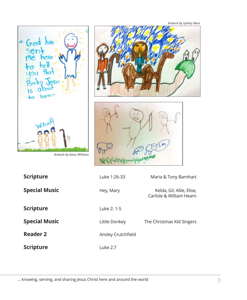

*Artwork by Avery Williams*





| <b>Scripture</b>     | Luke 1:26-33       | Maria & Tony Barnhart                                 |
|----------------------|--------------------|-------------------------------------------------------|
| <b>Special Music</b> | Hey, Mary          | Kelda, Gil, Allie, Elise,<br>Carlisle & William Hearn |
| <b>Scripture</b>     | Luke 2: 1-5        |                                                       |
| <b>Special Music</b> | Little Donkey      | The Christmas Kid Singers                             |
| <b>Reader 2</b>      | Ansley Crutchfield |                                                       |
| <b>Scripture</b>     | Luke 2:7           |                                                       |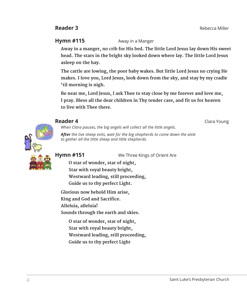**Hymn #115** Away in a Manger

 **Away in a manger, no crib for His bed. The little Lord Jesus lay down His sweet head. The stars in the bright sky looked down where lay. The little Lord Jesus asleep on the hay.** 

 **The cattle are lowing, the poor baby wakes. But little Lord Jesus no crying He makes. I love you, Lord Jesus, look down from the sky, and stay by my cradle 'til morning is nigh.** 

 **Be near me, Lord Jesus, I ask Thee to stay close by me forever and love me, I pray. Bless all the dear children in Thy tender care, and fit us for heaven to live with Thee there.**



## **Reader 4** Clara Young

*When Clara pauses, the big angels will collect all the little angels. After the live sheep exits, wait for the big shepherds to come down the aisle to gather all the little sheep and little shepherds.*

**Hymn #151** We Three Kings of Orient Are

 **O star of wonder, star of night, Star with royal beauty bright, Westward leading, still proceeding, Guide us to thy perfect Light.**

 **Glorious now behold Him arise, King and God and Sacrifice. Alleluia, alleluia! Sounds through the earth and skies.**

 **O star of wonder, star of night, Star with royal beauty bright, Westward leading, still proceeding, Guide us to thy perfect Light**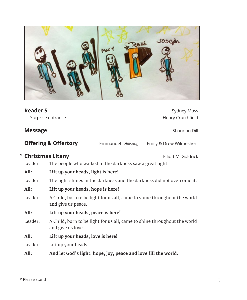

| <b>Reader 5</b>               | Surprise entrance                                                                              |                   |  | <b>Sydney Moss</b><br>Henry Crutchfield |  |
|-------------------------------|------------------------------------------------------------------------------------------------|-------------------|--|-----------------------------------------|--|
| <b>Message</b>                |                                                                                                |                   |  | Shannon Dill                            |  |
|                               | <b>Offering &amp; Offertory</b>                                                                | Emmanuel Hillsong |  | Emily & Drew Wilmesherr                 |  |
| * Christmas Litany<br>Leader: | The people who walked in the darkness saw a great light.                                       |                   |  | <b>Elliott McGoldrick</b>               |  |
| All:                          | Lift up your heads, light is here!                                                             |                   |  |                                         |  |
| Leader:                       | The light shines in the darkness and the darkness did not overcome it.                         |                   |  |                                         |  |
| All:                          | Lift up your heads, hope is here!                                                              |                   |  |                                         |  |
| Leader:                       | A Child, born to be light for us all, came to shine throughout the world<br>and give us peace. |                   |  |                                         |  |
| All:                          | Lift up your heads, peace is here!                                                             |                   |  |                                         |  |
| Leader:                       | A Child, born to be light for us all, came to shine throughout the world<br>and give us love.  |                   |  |                                         |  |
| All:                          | Lift up your heads, love is here!                                                              |                   |  |                                         |  |
| Leader:                       | Lift up your heads                                                                             |                   |  |                                         |  |
| All:                          | And let God's light, hope, joy, peace and love fill the world.                                 |                   |  |                                         |  |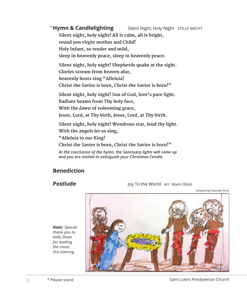#### **Silent Night, Holy Night** *STILLE NACHT*  **Silent night, holy night! All is calm, all is bright, round yon virgin mother and Child! Holy Infant, so tender and mild, sleep in heavenly peace, sleep in heavenly peace. Silent night, holy night! Shepherds quake at the sight.** \* Hymn & Candlelighting

**Glories stream from heaven afar,** 

**heavenly hosts sing "Alleluia!** 

**Christ the Savior is born, Christ the Savior is born!"**

 **Silent night, holy night! Son of God, love's pure light.** 

**Radiant beams from Thy holy face,** 

**With the dawn of redeeming grace,** 

**Jesus, Lord, at Thy birth, Jesus, Lord, at Thy birth.**

 **Silent night, holy night! Wondrous star, lend thy light.** 

**With the angels let us sing,** 

**"Alleluia to our King!** 

**Christ the Savior is born, Christ the Savior is born!"**

*At the conclusion of the hymn, the Sanctuary lights will come up and you are invited to extinguish your Christmas Candle.*

## **Benediction**

**Postlude** Joy To the World *arr. Kevin Olson*

*Artwork by Hannah Price*

*Note: Special thank you to Kelly Sloan for leading the music this evening.*

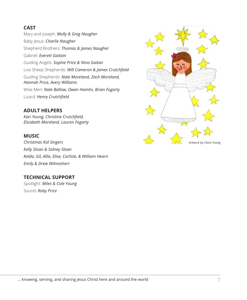## **CAST**

Mary and Joseph: *Molly & Greg Naugher* Baby Jesus: *Charlie Naugher* Shepherd Brothers: *Thomas & James Naugher* Gabriel: *Everett Gaitain* Guiding Angels: *Sophie Price & Nina Gaitan* Live Sheep Shepherds: *Will Cameron & James Crutchfield* Guiding Shepherds: *Nate Moreland, Zach Moreland, Hannah Price, Avery Williams* Wise Men: *Nate Ballow, Owen Hamlin, Brian Fogarty* Lizard: *Henry Crutchfield*

#### **ADULT HELPERS**

*Kari Young, Christine Crutchfield, Elizabeth Moreland, Lauren Fogarty*

#### **MUSIC**

*Christmas Kid Singers Kelly Sloan & Sidney Sloan Kelda, Gil, Allie, Elise, Carlisle, & William Hearn Emily & Drew Wilmesherr*

## **TECHNICAL SUPPORT**

Spotlight: *Miles & Cole Young* Sound: *Roby Price*